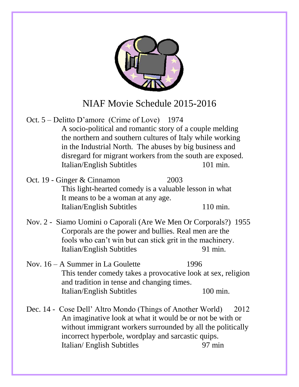

- Oct. 5 Delitto D'amore (Crime of Love) 1974 A socio-political and romantic story of a couple melding the northern and southern cultures of Italy while working in the Industrial North. The abuses by big business and disregard for migrant workers from the south are exposed. Italian/English Subtitles 101 min.
- Oct. 19 Ginger & Cinnamon 2003 This light-hearted comedy is a valuable lesson in what It means to be a woman at any age. Italian/English Subtitles 110 min.
- Nov. 2 Siamo Uomini o Caporali (Are We Men Or Corporals?) 1955 Corporals are the power and bullies. Real men are the fools who can't win but can stick grit in the machinery. Italian/English Subtitles 91 min.
- Nov. 16 A Summer in La Goulette 1996 This tender comedy takes a provocative look at sex, religion and tradition in tense and changing times. Italian/English Subtitles 100 min.
- Dec. 14 Cose Dell' Altro Mondo (Things of Another World) 2012 An imaginative look at what it would be or not be with or without immigrant workers surrounded by all the politically incorrect hyperbole, wordplay and sarcastic quips. Italian/ English Subtitles 97 min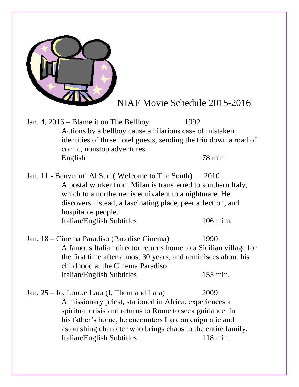

Jan. 4, 2016 – Blame it on The Bellboy 1992 Actions by a bellboy cause a hilarious case of mistaken identities of three hotel guests, sending the trio down a road of comic, nonstop adventures. English 78 min.

Jan. 11 - Benvenuti Al Sud ( Welcome to The South) 2010 A postal worker from Milan is transferred to southern Italy, which to a northerner is equivalent to a nightmare. He discovers instead, a fascinating place, peer affection, and hospitable people. Italian/English Subtitles 106 mim.

Jan. 18 – Cinema Paradiso (Paradise Cinema) 1990 A famous Italian director returns home to a Sicilian village for the first time after almost 30 years, and reminisces about his childhood at the Cinema Paradiso Italian/English Subtitles 155 min.

Jan. 25 – Io, Loro.e Lara (I, Them and Lara) 2009 A missionary priest, stationed in Africa, experiences a spiritual crisis and returns to Rome to seek guidance. In his father's home, he encounters Lara an enigmatic and astonishing character who brings chaos to the entire family. Italian/English Subtitles 118 min.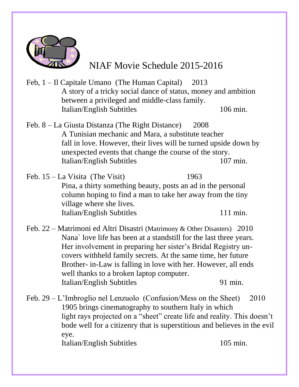

- Feb, 1 Il Capitale Umano (The Human Capital) 2013 A story of a tricky social dance of status, money and ambition between a privileged and middle-class family. Italian/English Subtitles 106 min.
- Feb. 8 La Giusta Distanza (The Right Distance) 2008 A Tunisian mechanic and Mara, a substitute teacher fall in love. However, their lives will be turned upside down by unexpected events that change the course of the story. Italian/English Subtitles 107 min.
- Feb. 15 La Visita (The Visit) 1963 Pina, a thirty something beauty, posts an ad in the personal column hoping to find a man to take her away from the tiny village where she lives. Italian/English Subtitles 111 min.
- Feb. 22 Matrimoni ed Altri Disastri (Matrimony & Other Disasters) 2010 Nana` love life has been at a standstill for the last three years. Her involvement in preparing her sister's Bridal Registry uncovers withheld family secrets. At the same time, her future Brother- in-Law is falling in love with her. However, all ends well thanks to a broken laptop computer. Italian/English Subtitles 91 min.

Feb. 29 – L'Imbroglio nel Lenzuolo (Confusion/Mess on the Sheet) 2010 1905 brings cinematography to southern Italy in which light rays projected on a "sheet" create life and reality. This doesn't bode well for a citizenry that is superstitious and believes in the evil eye.

Italian/English Subtitles 105 min.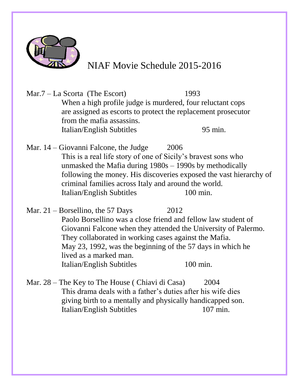

Mar.7 – La Scorta (The Escort) 1993 When a high profile judge is murdered, four reluctant cops are assigned as escorts to protect the replacement prosecutor from the mafia assassins. Italian/English Subtitles 95 min.

Mar.  $14 - Giovanni$  Falcone, the Judge 2006 This is a real life story of one of Sicily's bravest sons who unmasked the Mafia during 1980s – 1990s by methodically following the money. His discoveries exposed the vast hierarchy of criminal families across Italy and around the world. Italian/English Subtitles 100 min.

Mar.  $21 - B$ orsellino, the 57 Days 2012 Paolo Borsellino was a close friend and fellow law student of Giovanni Falcone when they attended the University of Palermo. They collaborated in working cases against the Mafia. May 23, 1992, was the beginning of the 57 days in which he lived as a marked man. Italian/English Subtitles 100 min.

Mar. 28 – The Key to The House ( Chiavi di Casa) 2004 This drama deals with a father's duties after his wife dies giving birth to a mentally and physically handicapped son. Italian/English Subtitles 107 min.